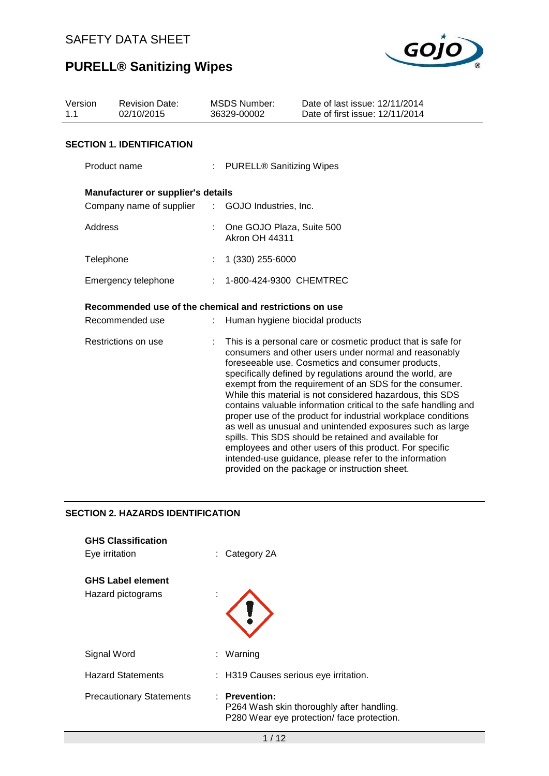

| Version<br>1.1 | <b>Revision Date:</b><br>02/10/2015                     |  | <b>MSDS Number:</b><br>36329-00002                 | Date of last issue: 12/11/2014<br>Date of first issue: 12/11/2014                                                                                                                                                                                                                                                                                                                                                                                                                                                                                                                                                                                                                                                                                                                               |
|----------------|---------------------------------------------------------|--|----------------------------------------------------|-------------------------------------------------------------------------------------------------------------------------------------------------------------------------------------------------------------------------------------------------------------------------------------------------------------------------------------------------------------------------------------------------------------------------------------------------------------------------------------------------------------------------------------------------------------------------------------------------------------------------------------------------------------------------------------------------------------------------------------------------------------------------------------------------|
|                | <b>SECTION 1. IDENTIFICATION</b>                        |  |                                                    |                                                                                                                                                                                                                                                                                                                                                                                                                                                                                                                                                                                                                                                                                                                                                                                                 |
|                | Product name                                            |  | : PURELL® Sanitizing Wipes                         |                                                                                                                                                                                                                                                                                                                                                                                                                                                                                                                                                                                                                                                                                                                                                                                                 |
|                | <b>Manufacturer or supplier's details</b>               |  |                                                    |                                                                                                                                                                                                                                                                                                                                                                                                                                                                                                                                                                                                                                                                                                                                                                                                 |
|                | Company name of supplier                                |  | : GOJO Industries, Inc.                            |                                                                                                                                                                                                                                                                                                                                                                                                                                                                                                                                                                                                                                                                                                                                                                                                 |
|                | Address                                                 |  | One GOJO Plaza, Suite 500<br><b>Akron OH 44311</b> |                                                                                                                                                                                                                                                                                                                                                                                                                                                                                                                                                                                                                                                                                                                                                                                                 |
|                | Telephone                                               |  | 1 (330) 255-6000                                   |                                                                                                                                                                                                                                                                                                                                                                                                                                                                                                                                                                                                                                                                                                                                                                                                 |
|                | Emergency telephone                                     |  | 1-800-424-9300 CHEMTREC                            |                                                                                                                                                                                                                                                                                                                                                                                                                                                                                                                                                                                                                                                                                                                                                                                                 |
|                | Recommended use of the chemical and restrictions on use |  |                                                    |                                                                                                                                                                                                                                                                                                                                                                                                                                                                                                                                                                                                                                                                                                                                                                                                 |
|                | Recommended use                                         |  | Human hygiene biocidal products                    |                                                                                                                                                                                                                                                                                                                                                                                                                                                                                                                                                                                                                                                                                                                                                                                                 |
|                | Restrictions on use                                     |  |                                                    | This is a personal care or cosmetic product that is safe for<br>consumers and other users under normal and reasonably<br>foreseeable use. Cosmetics and consumer products,<br>specifically defined by regulations around the world, are<br>exempt from the requirement of an SDS for the consumer.<br>While this material is not considered hazardous, this SDS<br>contains valuable information critical to the safe handling and<br>proper use of the product for industrial workplace conditions<br>as well as unusual and unintended exposures such as large<br>spills. This SDS should be retained and available for<br>employees and other users of this product. For specific<br>intended-use guidance, please refer to the information<br>provided on the package or instruction sheet. |

## **SECTION 2. HAZARDS IDENTIFICATION**

| <b>GHS Classification</b><br>Eye irritation   | $\therefore$ Category 2A                                                                                |
|-----------------------------------------------|---------------------------------------------------------------------------------------------------------|
| <b>GHS Label element</b><br>Hazard pictograms |                                                                                                         |
| Signal Word                                   | : Warning                                                                                               |
| <b>Hazard Statements</b>                      | : H319 Causes serious eye irritation.                                                                   |
| <b>Precautionary Statements</b>               | : Prevention:<br>P264 Wash skin thoroughly after handling.<br>P280 Wear eye protection/face protection. |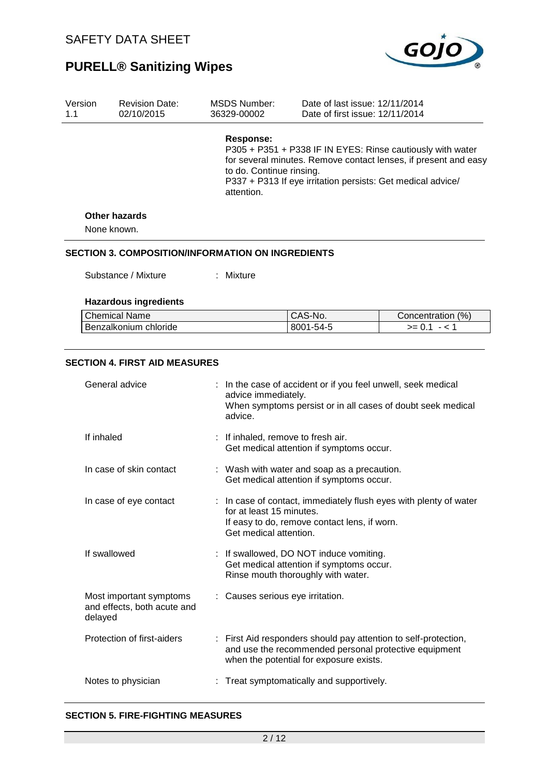

| Version<br>1.1 | <b>Revision Date:</b><br>02/10/2015                      | MSDS Number:<br>36329-00002                               | Date of last issue: 12/11/2014<br>Date of first issue: 12/11/2014 |                                                                                                                                                                                              |  |
|----------------|----------------------------------------------------------|-----------------------------------------------------------|-------------------------------------------------------------------|----------------------------------------------------------------------------------------------------------------------------------------------------------------------------------------------|--|
|                |                                                          | <b>Response:</b><br>to do. Continue rinsing.<br>attention |                                                                   | P305 + P351 + P338 IF IN EYES: Rinse cautiously with water<br>for several minutes. Remove contact lenses, if present and easy<br>P337 + P313 If eye irritation persists: Get medical advice/ |  |
|                | <b>Other hazards</b>                                     |                                                           |                                                                   |                                                                                                                                                                                              |  |
|                | None known.                                              |                                                           |                                                                   |                                                                                                                                                                                              |  |
|                | <b>SECTION 3. COMPOSITION/INFORMATION ON INGREDIENTS</b> |                                                           |                                                                   |                                                                                                                                                                                              |  |
|                | Substance / Mixture                                      | : Mixture                                                 |                                                                   |                                                                                                                                                                                              |  |
|                | <b>Hazardous ingredients</b>                             |                                                           |                                                                   |                                                                                                                                                                                              |  |
|                | <b>Chemical Name</b>                                     |                                                           | CAS-No.                                                           | Concentration (%)                                                                                                                                                                            |  |
|                | Benzalkonium chloride                                    |                                                           | 8001-54-5                                                         | $>= 0.1 - 1$                                                                                                                                                                                 |  |
|                |                                                          |                                                           |                                                                   |                                                                                                                                                                                              |  |
|                | <b>SECTION 4. FIRST AID MEASURES</b>                     |                                                           |                                                                   |                                                                                                                                                                                              |  |

| General advice                                                    | : In the case of accident or if you feel unwell, seek medical<br>advice immediately.<br>When symptoms persist or in all cases of doubt seek medical<br>advice.          |
|-------------------------------------------------------------------|-------------------------------------------------------------------------------------------------------------------------------------------------------------------------|
| If inhaled                                                        | : If inhaled, remove to fresh air.<br>Get medical attention if symptoms occur.                                                                                          |
| In case of skin contact                                           | : Wash with water and soap as a precaution.<br>Get medical attention if symptoms occur.                                                                                 |
| In case of eye contact                                            | : In case of contact, immediately flush eyes with plenty of water<br>for at least 15 minutes.<br>If easy to do, remove contact lens, if worn.<br>Get medical attention. |
| If swallowed                                                      | : If swallowed, DO NOT induce vomiting.<br>Get medical attention if symptoms occur.<br>Rinse mouth thoroughly with water.                                               |
| Most important symptoms<br>and effects, both acute and<br>delayed | : Causes serious eye irritation.                                                                                                                                        |
| Protection of first-aiders                                        | : First Aid responders should pay attention to self-protection,<br>and use the recommended personal protective equipment<br>when the potential for exposure exists.     |
| Notes to physician                                                | Treat symptomatically and supportively.                                                                                                                                 |

#### **SECTION 5. FIRE-FIGHTING MEASURES**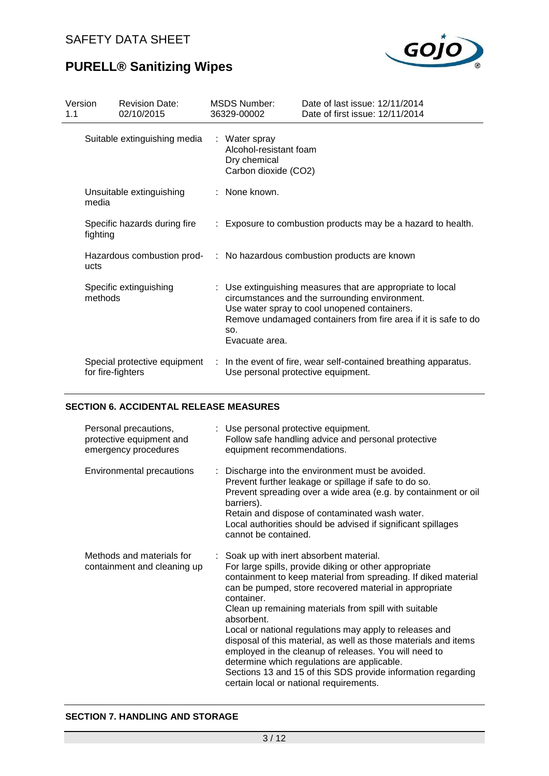

| Version<br>1.1 |                              | <b>Revision Date:</b><br>02/10/2015 | <b>MSDS Number:</b><br>36329-00002                                              | Date of last issue: 12/11/2014<br>Date of first issue: 12/11/2014                                                                                                                                                              |
|----------------|------------------------------|-------------------------------------|---------------------------------------------------------------------------------|--------------------------------------------------------------------------------------------------------------------------------------------------------------------------------------------------------------------------------|
|                | Suitable extinguishing media |                                     | : Water spray<br>Alcohol-resistant foam<br>Dry chemical<br>Carbon dioxide (CO2) |                                                                                                                                                                                                                                |
|                | media                        | Unsuitable extinguishing            | : None known.                                                                   |                                                                                                                                                                                                                                |
|                | fighting                     | Specific hazards during fire        |                                                                                 | : Exposure to combustion products may be a hazard to health.                                                                                                                                                                   |
|                | ucts                         |                                     |                                                                                 | Hazardous combustion prod- : No hazardous combustion products are known                                                                                                                                                        |
|                | methods                      | Specific extinguishing              | SO.<br>Evacuate area.                                                           | : Use extinguishing measures that are appropriate to local<br>circumstances and the surrounding environment.<br>Use water spray to cool unopened containers.<br>Remove undamaged containers from fire area if it is safe to do |
|                | for fire-fighters            | Special protective equipment        | Use personal protective equipment.                                              | In the event of fire, wear self-contained breathing apparatus.                                                                                                                                                                 |

#### **SECTION 6. ACCIDENTAL RELEASE MEASURES**

| Personal precautions,<br>protective equipment and<br>emergency procedures | : Use personal protective equipment.<br>Follow safe handling advice and personal protective<br>equipment recommendations.                                                                                                                                                                                                                                                                                                                                                                                                                                                                                                                                           |
|---------------------------------------------------------------------------|---------------------------------------------------------------------------------------------------------------------------------------------------------------------------------------------------------------------------------------------------------------------------------------------------------------------------------------------------------------------------------------------------------------------------------------------------------------------------------------------------------------------------------------------------------------------------------------------------------------------------------------------------------------------|
| Environmental precautions                                                 | : Discharge into the environment must be avoided.<br>Prevent further leakage or spillage if safe to do so.<br>Prevent spreading over a wide area (e.g. by containment or oil<br>barriers).<br>Retain and dispose of contaminated wash water.<br>Local authorities should be advised if significant spillages<br>cannot be contained.                                                                                                                                                                                                                                                                                                                                |
| Methods and materials for<br>containment and cleaning up                  | : Soak up with inert absorbent material.<br>For large spills, provide diking or other appropriate<br>containment to keep material from spreading. If diked material<br>can be pumped, store recovered material in appropriate<br>container.<br>Clean up remaining materials from spill with suitable<br>absorbent.<br>Local or national regulations may apply to releases and<br>disposal of this material, as well as those materials and items<br>employed in the cleanup of releases. You will need to<br>determine which regulations are applicable.<br>Sections 13 and 15 of this SDS provide information regarding<br>certain local or national requirements. |

#### **SECTION 7. HANDLING AND STORAGE**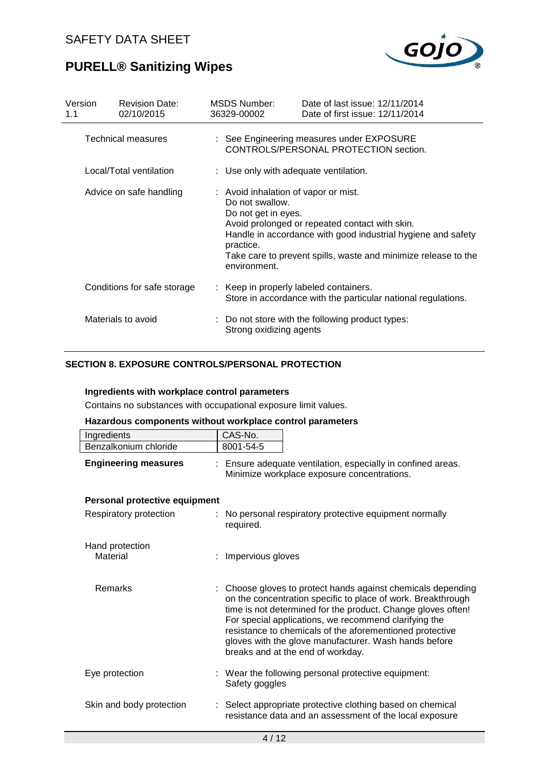

| Version<br>1.1          |  | <b>Revision Date:</b><br>02/10/2015                                                                         | MSDS Number:<br>36329-00002                                                                                                                                                      | Date of last issue: 12/11/2014<br>Date of first issue: 12/11/2014                  |
|-------------------------|--|-------------------------------------------------------------------------------------------------------------|----------------------------------------------------------------------------------------------------------------------------------------------------------------------------------|------------------------------------------------------------------------------------|
|                         |  | <b>Technical measures</b>                                                                                   |                                                                                                                                                                                  | : See Engineering measures under EXPOSURE<br>CONTROLS/PERSONAL PROTECTION section. |
|                         |  | Local/Total ventilation                                                                                     | : Use only with adequate ventilation.                                                                                                                                            |                                                                                    |
| Advice on safe handling |  | : Avoid inhalation of vapor or mist.<br>Do not swallow.<br>Do not get in eyes.<br>practice.<br>environment. | Avoid prolonged or repeated contact with skin.<br>Handle in accordance with good industrial hygiene and safety<br>Take care to prevent spills, waste and minimize release to the |                                                                                    |
|                         |  | Conditions for safe storage                                                                                 | : Keep in properly labeled containers.                                                                                                                                           | Store in accordance with the particular national regulations.                      |
| Materials to avoid      |  | Strong oxidizing agents                                                                                     | : Do not store with the following product types:                                                                                                                                 |                                                                                    |

### **SECTION 8. EXPOSURE CONTROLS/PERSONAL PROTECTION**

#### **Ingredients with workplace control parameters**

Contains no substances with occupational exposure limit values.

### **Hazardous components without workplace control parameters**

| Ingredients                   | CAS-No.                                                                                                                                                                                                                                                                                                                                                                                                         |
|-------------------------------|-----------------------------------------------------------------------------------------------------------------------------------------------------------------------------------------------------------------------------------------------------------------------------------------------------------------------------------------------------------------------------------------------------------------|
| Benzalkonium chloride         | 8001-54-5                                                                                                                                                                                                                                                                                                                                                                                                       |
| <b>Engineering measures</b>   | : Ensure adequate ventilation, especially in confined areas.<br>Minimize workplace exposure concentrations.                                                                                                                                                                                                                                                                                                     |
| Personal protective equipment |                                                                                                                                                                                                                                                                                                                                                                                                                 |
| Respiratory protection        | : No personal respiratory protective equipment normally<br>required.                                                                                                                                                                                                                                                                                                                                            |
| Hand protection               |                                                                                                                                                                                                                                                                                                                                                                                                                 |
| Material                      | : Impervious gloves                                                                                                                                                                                                                                                                                                                                                                                             |
| Remarks                       | : Choose gloves to protect hands against chemicals depending<br>on the concentration specific to place of work. Breakthrough<br>time is not determined for the product. Change gloves often!<br>For special applications, we recommend clarifying the<br>resistance to chemicals of the aforementioned protective<br>gloves with the glove manufacturer. Wash hands before<br>breaks and at the end of workday. |
| Eye protection                | : Wear the following personal protective equipment:<br>Safety goggles                                                                                                                                                                                                                                                                                                                                           |
| Skin and body protection      | : Select appropriate protective clothing based on chemical<br>resistance data and an assessment of the local exposure                                                                                                                                                                                                                                                                                           |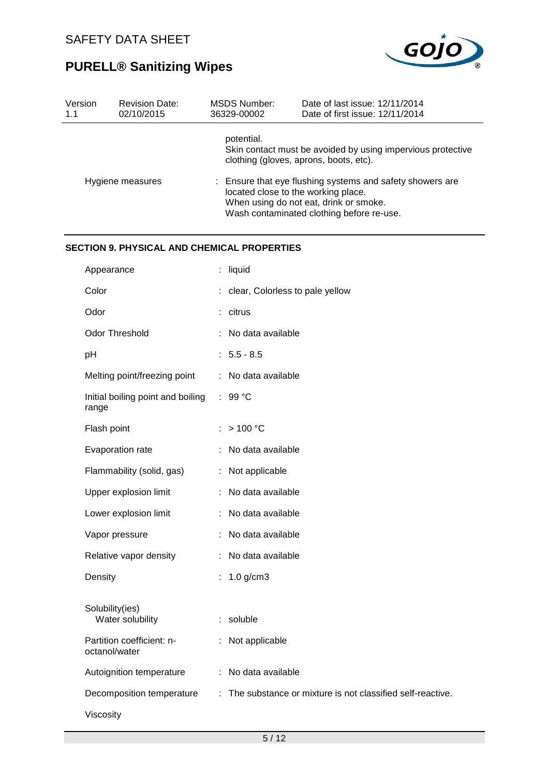

| Version<br>1.1 | <b>Revision Date:</b><br>02/10/2015                | <b>MSDS Number:</b><br>Date of last issue: 12/11/2014<br>36329-00002<br>Date of first issue: 12/11/2014                                                                                                                                                                                                        |
|----------------|----------------------------------------------------|----------------------------------------------------------------------------------------------------------------------------------------------------------------------------------------------------------------------------------------------------------------------------------------------------------------|
|                | Hygiene measures                                   | potential.<br>Skin contact must be avoided by using impervious protective<br>clothing (gloves, aprons, boots, etc).<br>: Ensure that eye flushing systems and safety showers are<br>located close to the working place.<br>When using do not eat, drink or smoke.<br>Wash contaminated clothing before re-use. |
|                | <b>SECTION 9. PHYSICAL AND CHEMICAL PROPERTIES</b> |                                                                                                                                                                                                                                                                                                                |
|                | Appearance                                         | : liquid                                                                                                                                                                                                                                                                                                       |
|                | Color                                              | : clear, Colorless to pale yellow                                                                                                                                                                                                                                                                              |
|                | Odor                                               | : citrus                                                                                                                                                                                                                                                                                                       |
|                | Odor Threshold                                     | : No data available                                                                                                                                                                                                                                                                                            |
|                | pH                                                 | $: 5.5 - 8.5$                                                                                                                                                                                                                                                                                                  |
|                | Melting point/freezing point                       | No data available                                                                                                                                                                                                                                                                                              |
|                | Initial boiling point and boiling<br>range         | $: 99^{\circ}$ C                                                                                                                                                                                                                                                                                               |
|                | Flash point                                        | >100 °C                                                                                                                                                                                                                                                                                                        |
|                | Evaporation rate                                   | No data available                                                                                                                                                                                                                                                                                              |
|                | Flammability (solid, gas)                          | : Not applicable                                                                                                                                                                                                                                                                                               |
|                | Upper explosion limit                              | : No data available                                                                                                                                                                                                                                                                                            |
|                | Lower explosion limit                              | : No data available                                                                                                                                                                                                                                                                                            |

Vapor pressure : No data available Relative vapor density : No data available

| Density                                    | : $1.0$ g/cm3                                               |
|--------------------------------------------|-------------------------------------------------------------|
| Solubility(ies)<br>Water solubility        | $:$ soluble                                                 |
| Partition coefficient: n-<br>octanol/water | $:$ Not applicable                                          |
| Autoignition temperature                   | : No data available                                         |
| Decomposition temperature                  | : The substance or mixture is not classified self-reactive. |
|                                            |                                                             |

Viscosity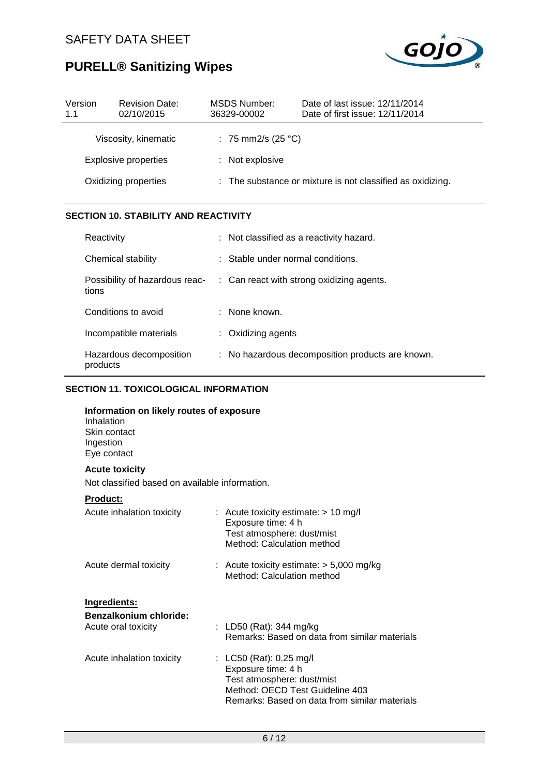

| Version<br>1.1              | <b>Revision Date:</b><br>02/10/2015 | MSDS Number:<br>36329-00002 | Date of last issue: 12/11/2014<br>Date of first issue: 12/11/2014 |
|-----------------------------|-------------------------------------|-----------------------------|-------------------------------------------------------------------|
|                             | Viscosity, kinematic                | : 75 mm2/s (25 °C)          |                                                                   |
| <b>Explosive properties</b> |                                     | : Not explosive             |                                                                   |
|                             | Oxidizing properties                |                             | : The substance or mixture is not classified as oxidizing.        |

### **SECTION 10. STABILITY AND REACTIVITY**

| Reactivity                              | : Not classified as a reactivity hazard.             |
|-----------------------------------------|------------------------------------------------------|
| Chemical stability                      | : Stable under normal conditions.                    |
| Possibility of hazardous reac-<br>tions | $\therefore$ Can react with strong oxidizing agents. |
| Conditions to avoid                     | : None known.                                        |
| Incompatible materials                  | $:$ Oxidizing agents                                 |
| Hazardous decomposition<br>products     | : No hazardous decomposition products are known.     |

## **SECTION 11. TOXICOLOGICAL INFORMATION**

| Information on likely routes of exposure<br>Inhalation<br>Skin contact<br>Ingestion<br>Eye contact |                                                                                                                                                                   |
|----------------------------------------------------------------------------------------------------|-------------------------------------------------------------------------------------------------------------------------------------------------------------------|
| <b>Acute toxicity</b><br>Not classified based on available information.                            |                                                                                                                                                                   |
| Product:                                                                                           |                                                                                                                                                                   |
| Acute inhalation toxicity                                                                          | : Acute toxicity estimate: $> 10$ mg/l<br>Exposure time: 4 h<br>Test atmosphere: dust/mist<br>Method: Calculation method                                          |
| Acute dermal toxicity                                                                              | : Acute toxicity estimate: $> 5,000$ mg/kg<br>Method: Calculation method                                                                                          |
| Ingredients:<br>Benzalkonium chloride:<br>Acute oral toxicity                                      | : LD50 (Rat): 344 mg/kg<br>Remarks: Based on data from similar materials                                                                                          |
| Acute inhalation toxicity                                                                          | : $LC50$ (Rat): 0.25 mg/l<br>Exposure time: 4 h<br>Test atmosphere: dust/mist<br>Method: OECD Test Guideline 403<br>Remarks: Based on data from similar materials |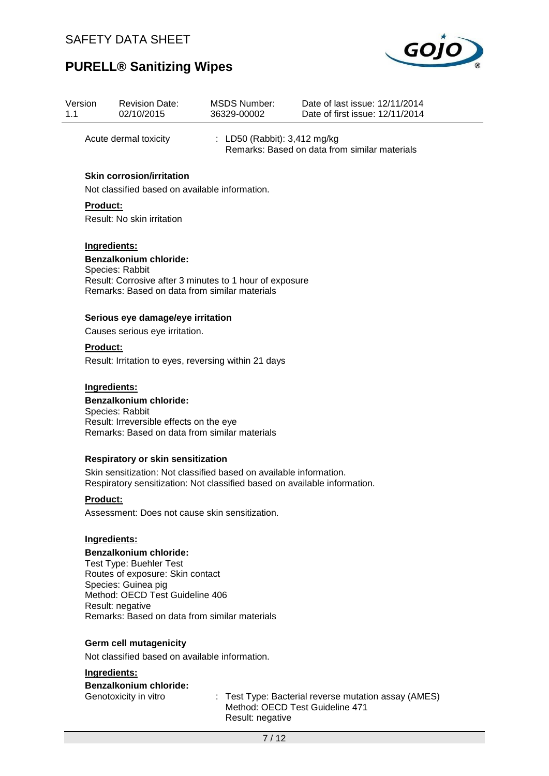

| Version<br>1.1 |                 | <b>Revision Date:</b><br>02/10/2015                                                                                                                                                                                                | <b>MSDS Number:</b><br>36329-00002                  | Date of last issue: 12/11/2014<br>Date of first issue: 12/11/2014 |
|----------------|-----------------|------------------------------------------------------------------------------------------------------------------------------------------------------------------------------------------------------------------------------------|-----------------------------------------------------|-------------------------------------------------------------------|
|                |                 | Acute dermal toxicity                                                                                                                                                                                                              | : LD50 (Rabbit): 3,412 mg/kg                        | Remarks: Based on data from similar materials                     |
|                | <b>Product:</b> | <b>Skin corrosion/irritation</b><br>Not classified based on available information.<br>Result: No skin irritation                                                                                                                   |                                                     |                                                                   |
|                | Ingredients:    | <b>Benzalkonium chloride:</b><br>Species: Rabbit<br>Result: Corrosive after 3 minutes to 1 hour of exposure<br>Remarks: Based on data from similar materials                                                                       |                                                     |                                                                   |
|                |                 | Serious eye damage/eye irritation                                                                                                                                                                                                  |                                                     |                                                                   |
|                |                 | Causes serious eye irritation.                                                                                                                                                                                                     |                                                     |                                                                   |
|                | <b>Product:</b> | Result: Irritation to eyes, reversing within 21 days                                                                                                                                                                               |                                                     |                                                                   |
|                | Ingredients:    | <b>Benzalkonium chloride:</b><br>Species: Rabbit<br>Result: Irreversible effects on the eye<br>Remarks: Based on data from similar materials                                                                                       |                                                     |                                                                   |
|                |                 | <b>Respiratory or skin sensitization</b><br>Skin sensitization: Not classified based on available information.<br>Respiratory sensitization: Not classified based on available information.                                        |                                                     |                                                                   |
|                | <b>Product:</b> | Assessment: Does not cause skin sensitization.                                                                                                                                                                                     |                                                     |                                                                   |
|                | Ingredients:    | <b>Benzalkonium chloride:</b><br><b>Test Type: Buehler Test</b><br>Routes of exposure: Skin contact<br>Species: Guinea pig<br>Method: OECD Test Guideline 406<br>Result: negative<br>Remarks: Based on data from similar materials |                                                     |                                                                   |
|                |                 | <b>Germ cell mutagenicity</b>                                                                                                                                                                                                      |                                                     |                                                                   |
|                |                 | Not classified based on available information.                                                                                                                                                                                     |                                                     |                                                                   |
|                | Ingredients:    |                                                                                                                                                                                                                                    |                                                     |                                                                   |
|                |                 | <b>Benzalkonium chloride:</b><br>Genotoxicity in vitro                                                                                                                                                                             | Method: OECD Test Guideline 471<br>Result: negative | : Test Type: Bacterial reverse mutation assay (AMES)              |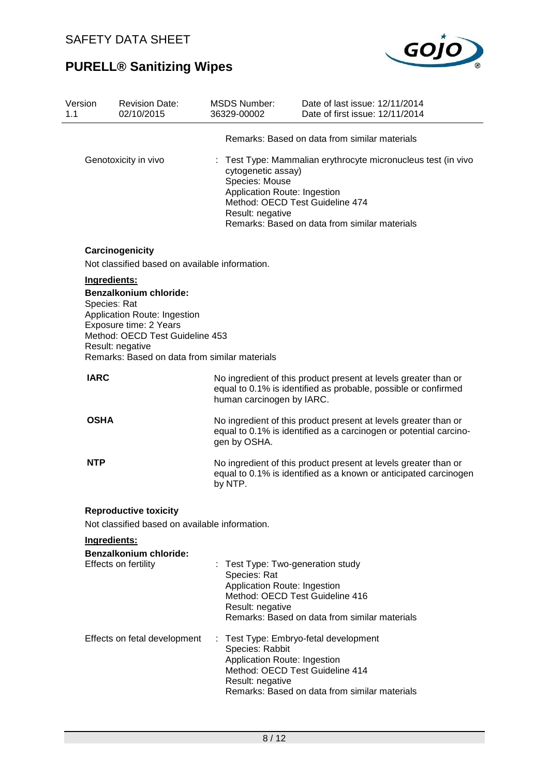

| Version<br>1.1 |              | <b>Revision Date:</b><br>02/10/2015                                                                                                                            |    | <b>MSDS Number:</b><br>36329-00002                                                                                                     | Date of last issue: 12/11/2014<br>Date of first issue: 12/11/2014                                                                    |
|----------------|--------------|----------------------------------------------------------------------------------------------------------------------------------------------------------------|----|----------------------------------------------------------------------------------------------------------------------------------------|--------------------------------------------------------------------------------------------------------------------------------------|
|                |              |                                                                                                                                                                |    |                                                                                                                                        | Remarks: Based on data from similar materials                                                                                        |
|                |              | Genotoxicity in vivo                                                                                                                                           |    | cytogenetic assay)<br>Species: Mouse<br>Application Route: Ingestion<br>Method: OECD Test Guideline 474<br>Result: negative            | Test Type: Mammalian erythrocyte micronucleus test (in vivo<br>Remarks: Based on data from similar materials                         |
|                |              | Carcinogenicity<br>Not classified based on available information.                                                                                              |    |                                                                                                                                        |                                                                                                                                      |
|                | Ingredients: | <b>Benzalkonium chloride:</b>                                                                                                                                  |    |                                                                                                                                        |                                                                                                                                      |
|                | Species: Rat | Application Route: Ingestion<br>Exposure time: 2 Years<br>Method: OECD Test Guideline 453<br>Result: negative<br>Remarks: Based on data from similar materials |    |                                                                                                                                        |                                                                                                                                      |
|                | <b>IARC</b>  |                                                                                                                                                                |    |                                                                                                                                        | No ingredient of this product present at levels greater than or                                                                      |
|                |              |                                                                                                                                                                |    | human carcinogen by IARC.                                                                                                              | equal to 0.1% is identified as probable, possible or confirmed                                                                       |
|                | <b>OSHA</b>  |                                                                                                                                                                |    | gen by OSHA.                                                                                                                           | No ingredient of this product present at levels greater than or<br>equal to 0.1% is identified as a carcinogen or potential carcino- |
|                | <b>NTP</b>   |                                                                                                                                                                |    | by NTP.                                                                                                                                | No ingredient of this product present at levels greater than or<br>equal to 0.1% is identified as a known or anticipated carcinogen  |
|                |              | <b>Reproductive toxicity</b><br>Not classified based on available information.                                                                                 |    |                                                                                                                                        |                                                                                                                                      |
|                | Ingredients: |                                                                                                                                                                |    |                                                                                                                                        |                                                                                                                                      |
|                |              | <b>Benzalkonium chloride:</b><br>Effects on fertility                                                                                                          |    | Test Type: Two-generation study<br>Species: Rat<br>Application Route: Ingestion<br>Method: OECD Test Guideline 416<br>Result: negative | Remarks: Based on data from similar materials                                                                                        |
|                |              | Effects on fetal development                                                                                                                                   | ÷. | Species: Rabbit<br>Application Route: Ingestion<br>Method: OECD Test Guideline 414<br>Result: negative                                 | Test Type: Embryo-fetal development<br>Remarks: Based on data from similar materials                                                 |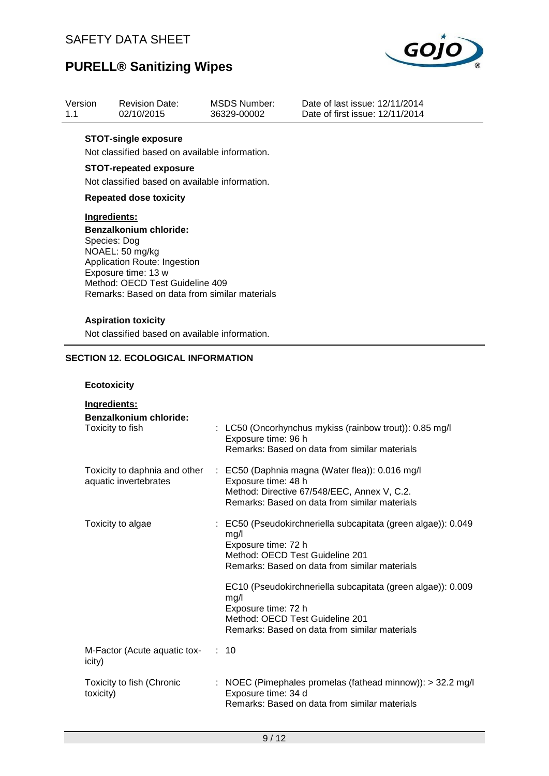

Date of last issue: 12/11/2014 Date of first issue: 12/11/2014

## **PURELL® Sanitizing Wipes**

| Version | <b>Revision Date:</b> | MSDS Number: |
|---------|-----------------------|--------------|
| 1.1     | 02/10/2015            | 36329-00002  |

#### **STOT-single exposure**

Not classified based on available information.

### **STOT-repeated exposure**

Not classified based on available information.

#### **Repeated dose toxicity**

#### **Ingredients:**

**Benzalkonium chloride:** Species: Dog NOAEL: 50 mg/kg Application Route: Ingestion Exposure time: 13 w Method: OECD Test Guideline 409 Remarks: Based on data from similar materials

### **Aspiration toxicity**

Not classified based on available information.

### **SECTION 12. ECOLOGICAL INFORMATION**

#### **Ecotoxicity**

| Ingredients:<br>Benzalkonium chloride:      |                                                                                                                                                                                                      |
|---------------------------------------------|------------------------------------------------------------------------------------------------------------------------------------------------------------------------------------------------------|
| Toxicity to fish                            | : LC50 (Oncorhynchus mykiss (rainbow trout)): 0.85 mg/l<br>Exposure time: 96 h<br>Remarks: Based on data from similar materials                                                                      |
| aquatic invertebrates                       | Toxicity to daphnia and other : EC50 (Daphnia magna (Water flea)): 0.016 mg/l<br>Exposure time: 48 h<br>Method: Directive 67/548/EEC, Annex V, C.2.<br>Remarks: Based on data from similar materials |
| Toxicity to algae                           | : EC50 (Pseudokirchneriella subcapitata (green algae)): 0.049<br>mg/l<br>Exposure time: 72 h<br>Method: OECD Test Guideline 201<br>Remarks: Based on data from similar materials                     |
|                                             | EC10 (Pseudokirchneriella subcapitata (green algae)): 0.009<br>mq/l<br>Exposure time: 72 h<br>Method: OECD Test Guideline 201<br>Remarks: Based on data from similar materials                       |
| M-Factor (Acute aquatic tox- : 10<br>icity) |                                                                                                                                                                                                      |
| Toxicity to fish (Chronic<br>toxicity)      | : NOEC (Pimephales promelas (fathead minnow)): $>$ 32.2 mg/l<br>Exposure time: 34 d<br>Remarks: Based on data from similar materials                                                                 |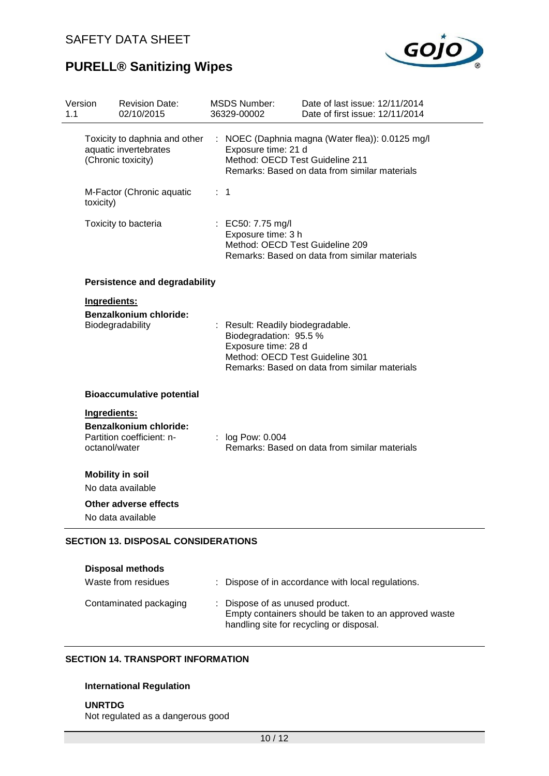

| Version<br>1.1 |                               | <b>Revision Date:</b><br>02/10/2015                                          |    | <b>MSDS Number:</b><br>36329-00002                                                                                   | Date of last issue: 12/11/2014<br>Date of first issue: 12/11/2014                               |
|----------------|-------------------------------|------------------------------------------------------------------------------|----|----------------------------------------------------------------------------------------------------------------------|-------------------------------------------------------------------------------------------------|
|                |                               | Toxicity to daphnia and other<br>aquatic invertebrates<br>(Chronic toxicity) | ÷. | Exposure time: 21 d<br>Method: OECD Test Guideline 211                                                               | NOEC (Daphnia magna (Water flea)): 0.0125 mg/l<br>Remarks: Based on data from similar materials |
|                | toxicity)                     | M-Factor (Chronic aquatic                                                    |    | : 1                                                                                                                  |                                                                                                 |
|                |                               | Toxicity to bacteria                                                         |    | : EC50: 7.75 mg/l<br>Exposure time: 3 h<br>Method: OECD Test Guideline 209                                           | Remarks: Based on data from similar materials                                                   |
|                |                               | <b>Persistence and degradability</b>                                         |    |                                                                                                                      |                                                                                                 |
|                | Ingredients:                  | <b>Benzalkonium chloride:</b><br>Biodegradability                            |    | : Result: Readily biodegradable.<br>Biodegradation: 95.5 %<br>Exposure time: 28 d<br>Method: OECD Test Guideline 301 | Remarks: Based on data from similar materials                                                   |
|                |                               | <b>Bioaccumulative potential</b>                                             |    |                                                                                                                      |                                                                                                 |
|                | Ingredients:<br>octanol/water | <b>Benzalkonium chloride:</b><br>Partition coefficient: n-                   |    | : log Pow: 0.004                                                                                                     | Remarks: Based on data from similar materials                                                   |
|                |                               | <b>Mobility in soil</b><br>No data available                                 |    |                                                                                                                      |                                                                                                 |
|                |                               | Other adverse effects<br>No data available                                   |    |                                                                                                                      |                                                                                                 |
|                |                               | <b>SECTION 13. DISPOSAL CONSIDERATIONS</b>                                   |    |                                                                                                                      |                                                                                                 |

#### **Disposal methods**

| Waste from residues    | : Dispose of in accordance with local regulations.                                                                                   |
|------------------------|--------------------------------------------------------------------------------------------------------------------------------------|
| Contaminated packaging | : Dispose of as unused product.<br>Empty containers should be taken to an approved waste<br>handling site for recycling or disposal. |

### **SECTION 14. TRANSPORT INFORMATION**

### **International Regulation**

**UNRTDG** Not regulated as a dangerous good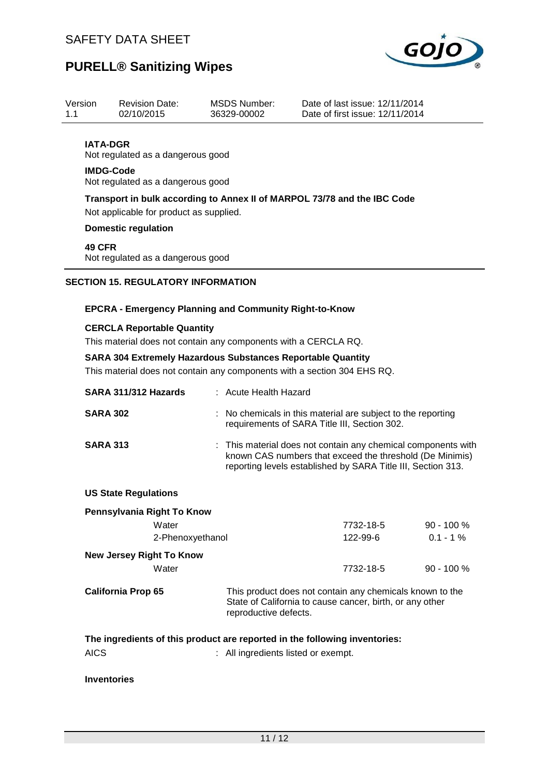

| 1.1 | Version                             | <b>Revision Date:</b><br>02/10/2015 |                                                                        | <b>MSDS Number:</b><br>36329-00002                                                                                                                                                                                | Date of last issue: 12/11/2014<br>Date of first issue: 12/11/2014                                                        |                            |
|-----|-------------------------------------|-------------------------------------|------------------------------------------------------------------------|-------------------------------------------------------------------------------------------------------------------------------------------------------------------------------------------------------------------|--------------------------------------------------------------------------------------------------------------------------|----------------------------|
|     | <b>IATA-DGR</b><br><b>IMDG-Code</b> |                                     | Not regulated as a dangerous good<br>Not regulated as a dangerous good |                                                                                                                                                                                                                   |                                                                                                                          |                            |
|     |                                     | <b>Domestic regulation</b>          | Not applicable for product as supplied.                                | Transport in bulk according to Annex II of MARPOL 73/78 and the IBC Code                                                                                                                                          |                                                                                                                          |                            |
|     | <b>49 CFR</b>                       |                                     | Not regulated as a dangerous good                                      |                                                                                                                                                                                                                   |                                                                                                                          |                            |
|     |                                     |                                     | <b>SECTION 15. REGULATORY INFORMATION</b>                              |                                                                                                                                                                                                                   |                                                                                                                          |                            |
|     |                                     |                                     |                                                                        | <b>EPCRA - Emergency Planning and Community Right-to-Know</b>                                                                                                                                                     |                                                                                                                          |                            |
|     |                                     |                                     | <b>CERCLA Reportable Quantity</b>                                      | This material does not contain any components with a CERCLA RQ.<br><b>SARA 304 Extremely Hazardous Substances Reportable Quantity</b><br>This material does not contain any components with a section 304 EHS RQ. |                                                                                                                          |                            |
|     |                                     |                                     |                                                                        |                                                                                                                                                                                                                   |                                                                                                                          |                            |
|     |                                     |                                     | SARA 311/312 Hazards                                                   | : Acute Health Hazard                                                                                                                                                                                             |                                                                                                                          |                            |
|     | <b>SARA 302</b>                     |                                     |                                                                        | requirements of SARA Title III, Section 302.                                                                                                                                                                      | No chemicals in this material are subject to the reporting                                                               |                            |
|     | <b>SARA 313</b>                     |                                     |                                                                        | This material does not contain any chemical components with                                                                                                                                                       | known CAS numbers that exceed the threshold (De Minimis)<br>reporting levels established by SARA Title III, Section 313. |                            |
|     |                                     | <b>US State Regulations</b>         |                                                                        |                                                                                                                                                                                                                   |                                                                                                                          |                            |
|     |                                     |                                     | Pennsylvania Right To Know<br>Water<br>2-Phenoxyethanol                |                                                                                                                                                                                                                   | 7732-18-5<br>122-99-6                                                                                                    | $90 - 100 %$<br>$0.1 - 1%$ |
|     |                                     |                                     | <b>New Jersey Right To Know</b><br>Water                               |                                                                                                                                                                                                                   | 7732-18-5                                                                                                                | $90 - 100 %$               |
|     |                                     | <b>California Prop 65</b>           |                                                                        | reproductive defects.                                                                                                                                                                                             | This product does not contain any chemicals known to the<br>State of California to cause cancer, birth, or any other     |                            |
|     | <b>AICS</b>                         |                                     |                                                                        | The ingredients of this product are reported in the following inventories:<br>: All ingredients listed or exempt.                                                                                                 |                                                                                                                          |                            |
|     |                                     |                                     |                                                                        |                                                                                                                                                                                                                   |                                                                                                                          |                            |
|     | <b>Inventories</b>                  |                                     |                                                                        |                                                                                                                                                                                                                   |                                                                                                                          |                            |